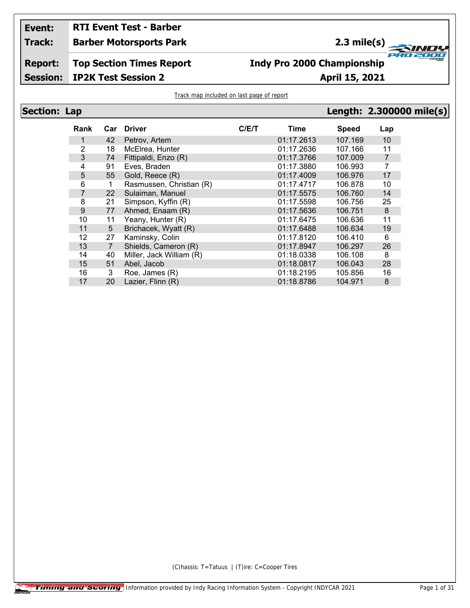#### **Event: RTI Event Test - Barber**

**Track: Barber Motorsports Park**

# 2.3 mile(s) **2.3 mile(s)**

**Report: Session: Top Section Times Report**

### **Indy Pro 2000 Championship**

**IP2K Test Session 2 April 15, 2021**

Track map included on last page of report

| <b>Section: Lap</b> |
|---------------------|
|---------------------|

| -ap            |                |                          |      |            |              |     | Length: 2.300000 mile(s) |
|----------------|----------------|--------------------------|------|------------|--------------|-----|--------------------------|
| Rank           | Car            | <b>Driver</b>            | C/ET | Time       | <b>Speed</b> | Lap |                          |
| 1              | 42             | Petrov, Artem            |      | 01:17.2613 | 107.169      | 10  |                          |
| $\overline{2}$ | 18             | McElrea, Hunter          |      | 01:17.2636 | 107.166      | 11  |                          |
| 3              | 74             | Fittipaldi, Enzo (R)     |      | 01:17.3766 | 107.009      | 7   |                          |
| 4              | 91             | Eves, Braden             |      | 01:17.3880 | 106.993      | 7   |                          |
| 5              | 55             | Gold, Reece (R)          |      | 01:17.4009 | 106.976      | 17  |                          |
| 6              | 1              | Rasmussen, Christian (R) |      | 01:17.4717 | 106.878      | 10  |                          |
| 7              | 22             | Sulaiman, Manuel         |      | 01:17.5575 | 106.760      | 14  |                          |
| 8              | 21             | Simpson, Kyffin (R)      |      | 01:17.5598 | 106.756      | 25  |                          |
| $9\,$          | 77             | Ahmed, Enaam (R)         |      | 01:17.5636 | 106.751      | 8   |                          |
| 10             | 11             | Yeany, Hunter (R)        |      | 01:17.6475 | 106.636      | 11  |                          |
| 11             | 5              | Brichacek, Wyatt (R)     |      | 01:17.6488 | 106.634      | 19  |                          |
| 12             | 27             | Kaminsky, Colin          |      | 01:17.8120 | 106.410      | 6   |                          |
| 13             | $\overline{7}$ | Shields, Cameron (R)     |      | 01:17.8947 | 106.297      | 26  |                          |
| 14             | 40             | Miller, Jack William (R) |      | 01:18.0338 | 106.108      | 8   |                          |
| 15             | 51             | Abel, Jacob              |      | 01:18.0817 | 106.043      | 28  |                          |
| 16             | 3              | Roe, James (R)           |      | 01:18.2195 | 105.856      | 16  |                          |
| 17             | 20             | Lazier, Flinn (R)        |      | 01:18.8786 | 104.971      | 8   |                          |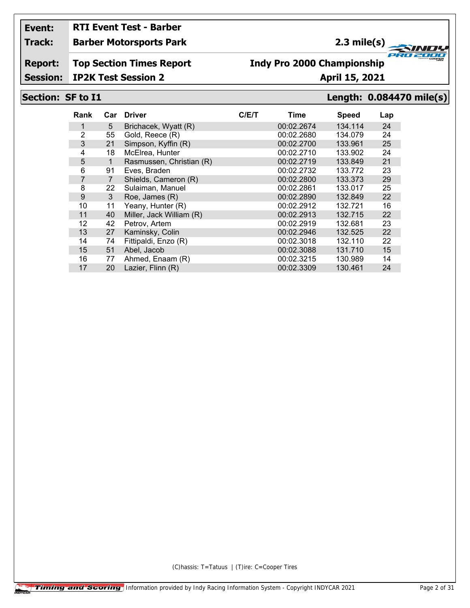# **RTI Event Test - Barber**

#### **Track: Barber Motorsports Park**

### **2.3 mile(s)**

**Report: Top Section Times Report**

## **Indy Pro 2000 Championship**

**Session: IP2K Test Session 2 April 15, 2021**

#### **Section: SF to I1 Length: 0.084470 mile(s)**

**FRO 200** 

2000

| Rank | Car            | <b>Driver</b>            | C/E/T | <b>Time</b> | <b>Speed</b> | Lap |
|------|----------------|--------------------------|-------|-------------|--------------|-----|
|      | 5              | Brichacek, Wyatt (R)     |       | 00:02.2674  | 134.114      | 24  |
| 2    | 55             | Gold, Reece (R)          |       | 00:02.2680  | 134.079      | 24  |
| 3    | 21             | Simpson, Kyffin (R)      |       | 00:02.2700  | 133.961      | 25  |
| 4    | 18             | McElrea, Hunter          |       | 00:02.2710  | 133.902      | 24  |
| 5    | 1              | Rasmussen, Christian (R) |       | 00:02.2719  | 133.849      | 21  |
| 6    | 91             | Eves, Braden             |       | 00:02.2732  | 133.772      | 23  |
| 7    | $\overline{7}$ | Shields, Cameron (R)     |       | 00:02.2800  | 133.373      | 29  |
| 8    | 22             | Sulaiman, Manuel         |       | 00:02.2861  | 133.017      | 25  |
| 9    | 3              | Roe, James (R)           |       | 00:02.2890  | 132.849      | 22  |
| 10   | 11             | Yeany, Hunter (R)        |       | 00:02.2912  | 132.721      | 16  |
| 11   | 40             | Miller, Jack William (R) |       | 00:02.2913  | 132.715      | 22  |
| 12   | 42             | Petrov, Artem            |       | 00:02.2919  | 132.681      | 23  |
| 13   | 27             | Kaminsky, Colin          |       | 00:02.2946  | 132.525      | 22  |
| 14   | 74             | Fittipaldi, Enzo (R)     |       | 00:02.3018  | 132.110      | 22  |
| 15   | 51             | Abel, Jacob              |       | 00:02.3088  | 131.710      | 15  |
| 16   | 77             | Ahmed, Enaam (R)         |       | 00:02.3215  | 130.989      | 14  |
| 17   | 20             | Lazier, Flinn (R)        |       | 00:02.3309  | 130.461      | 24  |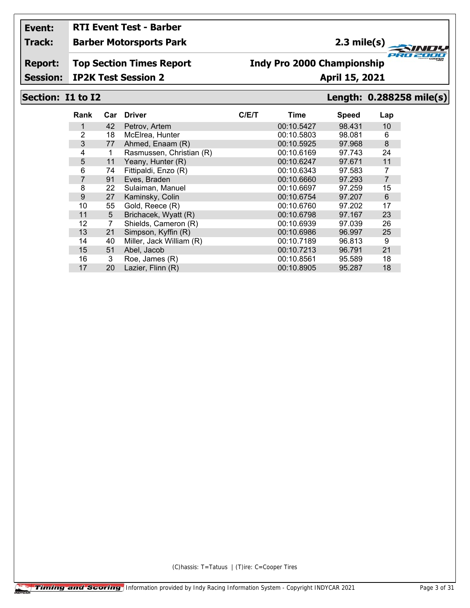## **RTI Event Test - Barber**

#### **Track: Barber Motorsports Park**

### **2.3 mile(s)**

**Report: Top Section Times Report**

### **Indy Pro 2000 Championship**

**Session: IP2K Test Session 2 April 15, 2021**

#### **Section: I1 to I2 Length: 0.288258 mile(s)**

**FRO 200** 

2000

| Rank           | Car | <b>Driver</b>            | C/ET | Time       | <b>Speed</b> | Lap            |
|----------------|-----|--------------------------|------|------------|--------------|----------------|
|                | 42  | Petrov, Artem            |      | 00:10.5427 | 98.431       | 10             |
| $\overline{2}$ | 18  | McElrea, Hunter          |      | 00:10.5803 | 98.081       | 6              |
| 3              | 77  | Ahmed, Enaam (R)         |      | 00:10.5925 | 97.968       | 8              |
| 4              | 1   | Rasmussen, Christian (R) |      | 00:10.6169 | 97.743       | 24             |
| 5              | 11  | Yeany, Hunter (R)        |      | 00:10.6247 | 97.671       | 11             |
| 6              | 74  | Fittipaldi, Enzo (R)     |      | 00:10.6343 | 97.583       | 7              |
| $\overline{7}$ | 91  | Eves, Braden             |      | 00:10.6660 | 97.293       | $\overline{7}$ |
| 8              | 22  | Sulaiman, Manuel         |      | 00:10.6697 | 97.259       | 15             |
| 9              | 27  | Kaminsky, Colin          |      | 00:10.6754 | 97.207       | 6              |
| 10             | 55  | Gold, Reece (R)          |      | 00:10.6760 | 97.202       | 17             |
| 11             | 5   | Brichacek, Wyatt (R)     |      | 00:10.6798 | 97.167       | 23             |
| 12             | 7   | Shields, Cameron (R)     |      | 00:10.6939 | 97.039       | 26             |
| 13             | 21  | Simpson, Kyffin (R)      |      | 00:10.6986 | 96.997       | 25             |
| 14             | 40  | Miller, Jack William (R) |      | 00:10.7189 | 96.813       | 9              |
| 15             | 51  | Abel, Jacob              |      | 00:10.7213 | 96.791       | 21             |
| 16             | 3   | Roe, James (R)           |      | 00:10.8561 | 95.589       | 18             |
| 17             | 20  | Lazier, Flinn (R)        |      | 00:10.8905 | 95.287       | 18             |
|                |     |                          |      |            |              |                |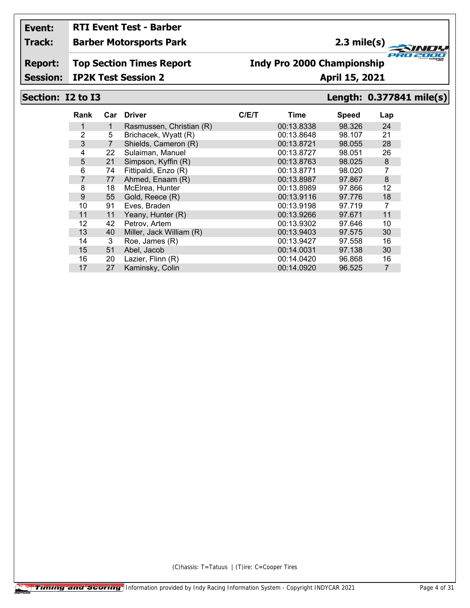# **RTI Event Test - Barber**

#### **Track: Barber Motorsports Park**

### **2.3 mile(s)**

**Report: Top Section Times Report**

## **Indy Pro 2000 Championship**

#### **Session: IP2K Test Session 2 April 15, 2021**

### **Section: I2 to I3 Length: 0.377841 mile(s)**

**FRO 200** 

2000

| Rank            |                | Car Driver               | C/ET | Time       | <b>Speed</b> | Lap            |
|-----------------|----------------|--------------------------|------|------------|--------------|----------------|
|                 | 1              | Rasmussen, Christian (R) |      | 00:13.8338 | 98.326       | 24             |
| $\overline{2}$  | 5              | Brichacek, Wyatt (R)     |      | 00:13.8648 | 98.107       | 21             |
| 3               | $\overline{7}$ | Shields, Cameron (R)     |      | 00:13.8721 | 98.055       | 28             |
| 4               | 22             | Sulaiman, Manuel         |      | 00:13.8727 | 98.051       | 26             |
| $5\phantom{.0}$ | 21             | Simpson, Kyffin (R)      |      | 00:13.8763 | 98.025       | 8              |
| 6               | 74             | Fittipaldi, Enzo (R)     |      | 00:13.8771 | 98.020       | 7              |
| 7               | 77             | Ahmed, Enaam (R)         |      | 00:13.8987 | 97.867       | 8              |
| 8               | 18             | McElrea, Hunter          |      | 00:13.8989 | 97.866       | 12             |
| 9               | 55             | Gold, Reece (R)          |      | 00:13.9116 | 97.776       | 18             |
| 10              | 91             | Eves, Braden             |      | 00:13.9198 | 97.719       | 7              |
| 11              | 11             | Yeany, Hunter (R)        |      | 00:13.9266 | 97.671       | 11             |
| 12              | 42             | Petrov, Artem            |      | 00:13.9302 | 97.646       | 10             |
| 13              | 40             | Miller, Jack William (R) |      | 00:13.9403 | 97.575       | 30             |
| 14              | 3              | Roe, James (R)           |      | 00:13.9427 | 97.558       | 16             |
| 15              | 51             | Abel, Jacob              |      | 00:14.0031 | 97.138       | 30             |
| 16              | 20             | Lazier, Flinn (R)        |      | 00:14.0420 | 96.868       | 16             |
| 17              | 27             | Kaminsky, Colin          |      | 00:14.0920 | 96.525       | $\overline{7}$ |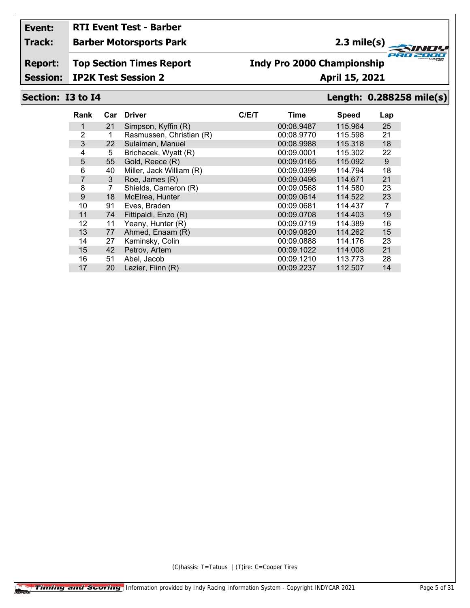# **RTI Event Test - Barber**

#### **Track: Barber Motorsports Park**

### **2.3 mile(s)**

**Report: Top Section Times Report**

### **Indy Pro 2000 Championship**

**Session: IP2K Test Session 2 April 15, 2021** 

#### **Section: I3 to I4 Length: 0.288258 mile(s)**

**FRO 200** 

2000

| Rank           | Car | <b>Driver</b>            | C/E/T | Time       | <b>Speed</b> | Lap |
|----------------|-----|--------------------------|-------|------------|--------------|-----|
| 1              | 21  | Simpson, Kyffin (R)      |       | 00:08.9487 | 115.964      | 25  |
| $\overline{2}$ |     | Rasmussen, Christian (R) |       | 00:08.9770 | 115.598      | 21  |
| 3              | 22  | Sulaiman, Manuel         |       | 00:08.9988 | 115.318      | 18  |
| 4              | 5   | Brichacek, Wyatt (R)     |       | 00:09.0001 | 115.302      | 22  |
| 5              | 55  | Gold, Reece (R)          |       | 00:09.0165 | 115.092      | 9   |
| 6              | 40  | Miller, Jack William (R) |       | 00:09.0399 | 114.794      | 18  |
| $\overline{7}$ | 3   | Roe, James (R)           |       | 00:09.0496 | 114.671      | 21  |
| 8              | 7   | Shields, Cameron (R)     |       | 00:09.0568 | 114.580      | 23  |
| 9              | 18  | McElrea, Hunter          |       | 00:09.0614 | 114.522      | 23  |
| 10             | 91  | Eves, Braden             |       | 00:09.0681 | 114.437      | 7   |
| 11             | 74  | Fittipaldi, Enzo (R)     |       | 00:09.0708 | 114,403      | 19  |
| 12             | 11  | Yeany, Hunter (R)        |       | 00:09.0719 | 114.389      | 16  |
| 13             | 77  | Ahmed, Enaam (R)         |       | 00:09.0820 | 114.262      | 15  |
| 14             | 27  | Kaminsky, Colin          |       | 00:09.0888 | 114.176      | 23  |
| 15             | 42  | Petrov, Artem            |       | 00:09.1022 | 114.008      | 21  |
| 16             | 51  | Abel, Jacob              |       | 00:09.1210 | 113.773      | 28  |
| 17             | 20  | Lazier, Flinn (R)        |       | 00:09.2237 | 112.507      | 14  |
|                |     |                          |       |            |              |     |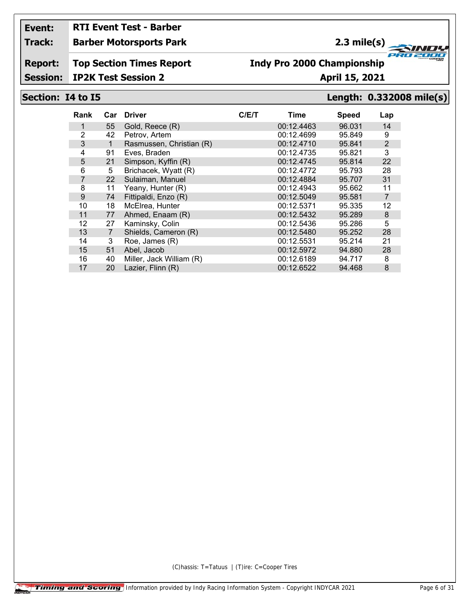# **RTI Event Test - Barber**

#### **Track: Barber Motorsports Park**

### **2.3 mile(s)**

**Report: Top Section Times Report**

## **Indy Pro 2000 Championship**

**Session: IP2K Test Session 2 April 15, 2021**

### **Section: I4 to I5 Length: 0.332008 mile(s)**

**FRO 200** 

2000

| Rank           | Car            | <b>Driver</b>            | C/E/T | Time       | <b>Speed</b> | Lap            |
|----------------|----------------|--------------------------|-------|------------|--------------|----------------|
|                | 55             | Gold, Reece (R)          |       | 00:12.4463 | 96.031       | 14             |
| 2              | 42             | Petrov, Artem            |       | 00:12.4699 | 95.849       | 9              |
| 3              | $\mathbf 1$    | Rasmussen, Christian (R) |       | 00:12.4710 | 95.841       | $\overline{2}$ |
| 4              | 91             | Eves, Braden             |       | 00:12.4735 | 95.821       | 3              |
| 5              | 21             | Simpson, Kyffin (R)      |       | 00:12.4745 | 95.814       | 22             |
| 6              | 5              | Brichacek, Wyatt (R)     |       | 00:12.4772 | 95.793       | 28             |
| $\overline{7}$ | 22             | Sulaiman, Manuel         |       | 00:12.4884 | 95.707       | 31             |
| 8              | 11             | Yeany, Hunter (R)        |       | 00:12.4943 | 95.662       | 11             |
| 9              | 74             | Fittipaldi, Enzo (R)     |       | 00:12.5049 | 95.581       | $\overline{7}$ |
| 10             | 18             | McElrea, Hunter          |       | 00:12.5371 | 95.335       | 12             |
| 11             | 77             | Ahmed, Enaam (R)         |       | 00:12.5432 | 95.289       | 8              |
| 12             | 27             | Kaminsky, Colin          |       | 00:12.5436 | 95.286       | 5              |
| 13             | $\overline{7}$ | Shields, Cameron (R)     |       | 00:12.5480 | 95.252       | 28             |
| 14             | 3              | Roe, James (R)           |       | 00:12.5531 | 95.214       | 21             |
| 15             | 51             | Abel, Jacob              |       | 00:12.5972 | 94.880       | 28             |
| 16             | 40             | Miller, Jack William (R) |       | 00:12.6189 | 94.717       | 8              |
| 17             | 20             | Lazier, Flinn (R)        |       | 00:12.6522 | 94.468       | 8              |
|                |                |                          |       |            |              |                |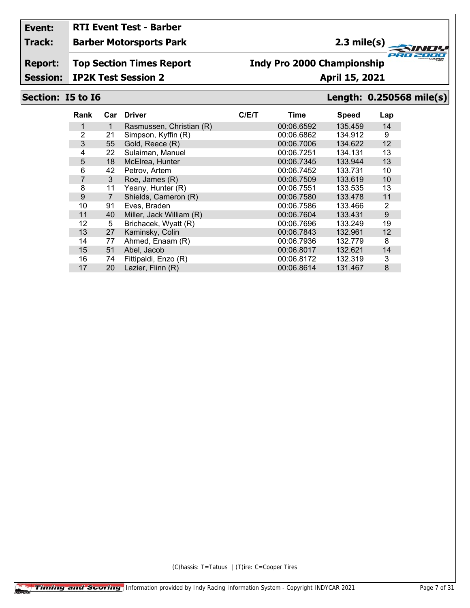# **RTI Event Test - Barber**

#### **Track: Barber Motorsports Park**

### **2.3 mile(s)**

**Report: Top Section Times Report**

### **Indy Pro 2000 Championship**

**Session: IP2K Test Session 2 April 15, 2021**

#### **Section: I5 to I6 Length: 0.250568 mile(s)**

**FRO 200** 

2000

| Rank           | Car            | <b>Driver</b>            | C/E/T | Time       | <b>Speed</b> | Lap |
|----------------|----------------|--------------------------|-------|------------|--------------|-----|
| 1              | 1              | Rasmussen, Christian (R) |       | 00:06.6592 | 135.459      | 14  |
| 2              | 21             | Simpson, Kyffin (R)      |       | 00:06.6862 | 134.912      | 9   |
| 3              | 55             | Gold, Reece (R)          |       | 00:06.7006 | 134.622      | 12  |
| 4              | 22             | Sulaiman, Manuel         |       | 00:06.7251 | 134.131      | 13  |
| 5              | 18             | McElrea, Hunter          |       | 00:06.7345 | 133.944      | 13  |
| 6              | 42             | Petrov, Artem            |       | 00:06.7452 | 133.731      | 10  |
| $\overline{7}$ | 3              | Roe, James (R)           |       | 00:06.7509 | 133.619      | 10  |
| 8              | 11             | Yeany, Hunter (R)        |       | 00:06.7551 | 133.535      | 13  |
| 9              | $\overline{7}$ | Shields, Cameron (R)     |       | 00:06.7580 | 133.478      | 11  |
| 10             | 91             | Eves, Braden             |       | 00:06.7586 | 133.466      | 2   |
| 11             | 40             | Miller, Jack William (R) |       | 00:06.7604 | 133.431      | 9   |
| 12             | 5              | Brichacek, Wyatt (R)     |       | 00:06.7696 | 133.249      | 19  |
| 13             | 27             | Kaminsky, Colin          |       | 00:06.7843 | 132.961      | 12  |
| 14             | 77             | Ahmed, Enaam (R)         |       | 00:06.7936 | 132.779      | 8   |
| 15             | 51             | Abel, Jacob              |       | 00:06.8017 | 132.621      | 14  |
| 16             | 74             | Fittipaldi, Enzo (R)     |       | 00:06.8172 | 132.319      | 3   |
| 17             | 20             | Lazier, Flinn (R)        |       | 00:06.8614 | 131.467      | 8   |
|                |                |                          |       |            |              |     |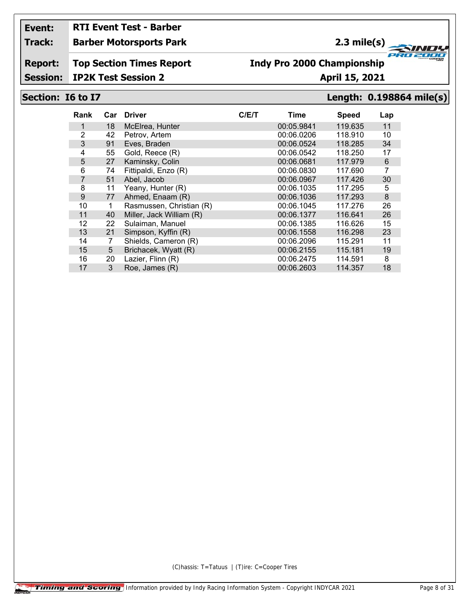# **RTI Event Test - Barber**

**Track: Barber Motorsports Park**

## **2.3 mile(s)**

**Report: Top Section Times Report**

## **Indy Pro 2000 Championship**

**Session: IP2K Test Session 2 April 15, 2021**

#### **Section: I6 to I7 Length: 0.198864 mile(s)**

**FRO 200** 

2000

| Rank           | Car | <b>Driver</b>            | C/ET | Time       | <b>Speed</b> | Lap |
|----------------|-----|--------------------------|------|------------|--------------|-----|
|                | 18  | McElrea, Hunter          |      | 00:05.9841 | 119.635      | 11  |
| 2              | 42  | Petrov, Artem            |      | 00:06.0206 | 118.910      | 10  |
| 3              | 91  | Eves, Braden             |      | 00:06.0524 | 118.285      | 34  |
| 4              | 55  | Gold, Reece (R)          |      | 00:06.0542 | 118.250      | 17  |
| 5              | 27  | Kaminsky, Colin          |      | 00:06.0681 | 117.979      | 6   |
| 6              | 74  | Fittipaldi, Enzo (R)     |      | 00:06.0830 | 117.690      | 7   |
| $\overline{7}$ | 51  | Abel, Jacob              |      | 00:06.0967 | 117.426      | 30  |
| 8              | 11  | Yeany, Hunter (R)        |      | 00:06.1035 | 117.295      | 5   |
| 9              | 77  | Ahmed, Enaam (R)         |      | 00:06.1036 | 117.293      | 8   |
| 10             | 1   | Rasmussen, Christian (R) |      | 00:06.1045 | 117.276      | 26  |
| 11             | 40  | Miller, Jack William (R) |      | 00:06.1377 | 116.641      | 26  |
| 12             | 22  | Sulaiman, Manuel         |      | 00:06.1385 | 116.626      | 15  |
| 13             | 21  | Simpson, Kyffin (R)      |      | 00:06.1558 | 116.298      | 23  |
| 14             | 7   | Shields, Cameron (R)     |      | 00:06.2096 | 115.291      | 11  |
| 15             | 5   | Brichacek, Wyatt (R)     |      | 00:06.2155 | 115.181      | 19  |
| 16             | 20  | Lazier, Flinn (R)        |      | 00:06.2475 | 114.591      | 8   |
| 17             | 3   | Roe, James (R)           |      | 00:06.2603 | 114.357      | 18  |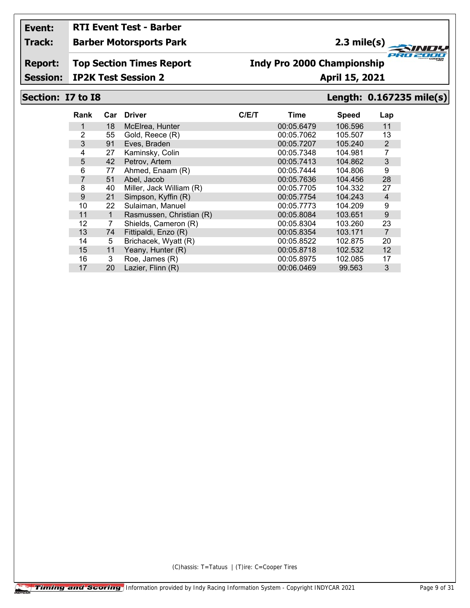# **RTI Event Test - Barber**

#### **Track: Barber Motorsports Park**

### **2.3 mile(s)**

#### **Report: Top Section Times Report**

## **Indy Pro 2000 Championship**

**Session: IP2K Test Session 2 April 15, 2021** 

#### **Section: I7 to I8 Length: 0.167235 mile(s)**

**FRO 200** 

2000

| Rank           | Car         | <b>Driver</b>            | C/ET | Time       | <b>Speed</b> | Lap            |
|----------------|-------------|--------------------------|------|------------|--------------|----------------|
|                | 18          | McElrea, Hunter          |      | 00:05.6479 | 106.596      | 11             |
| 2              | 55          | Gold, Reece (R)          |      | 00:05.7062 | 105.507      | 13             |
| 3              | 91          | Eves, Braden             |      | 00:05.7207 | 105.240      | 2              |
| 4              | 27          | Kaminsky, Colin          |      | 00:05.7348 | 104.981      | 7              |
| 5              | 42          | Petrov, Artem            |      | 00:05.7413 | 104.862      | 3              |
| 6              | 77          | Ahmed, Enaam (R)         |      | 00:05.7444 | 104.806      | 9              |
| $\overline{7}$ | 51          | Abel, Jacob              |      | 00:05.7636 | 104.456      | 28             |
| 8              | 40          | Miller, Jack William (R) |      | 00:05.7705 | 104.332      | 27             |
| 9              | 21          | Simpson, Kyffin (R)      |      | 00:05.7754 | 104.243      | $\overline{4}$ |
| 10             | 22          | Sulaiman, Manuel         |      | 00:05.7773 | 104.209      | 9              |
| 11             | $\mathbf 1$ | Rasmussen, Christian (R) |      | 00:05.8084 | 103.651      | 9              |
| 12             | 7           | Shields, Cameron (R)     |      | 00:05.8304 | 103.260      | 23             |
| 13             | 74          | Fittipaldi, Enzo (R)     |      | 00:05.8354 | 103.171      | $\overline{7}$ |
| 14             | 5           | Brichacek, Wyatt (R)     |      | 00:05.8522 | 102.875      | 20             |
| 15             | 11          | Yeany, Hunter (R)        |      | 00:05.8718 | 102.532      | 12             |
| 16             | 3           | Roe, James (R)           |      | 00:05.8975 | 102.085      | 17             |
| 17             | 20          | Lazier, Flinn (R)        |      | 00:06.0469 | 99.563       | 3              |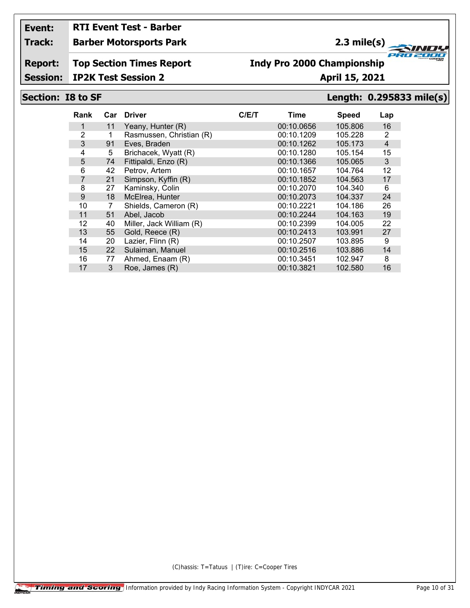## **RTI Event Test - Barber**

#### **Track: Barber Motorsports Park**

### **2.3 mile(s)**

**Report: Top Section Times Report**

#### **Indy Pro 2000 Championship**

**Session: IP2K Test Session 2 April 15, 2021** 

### **Section: I8 to SF Length: 0.295833 mile(s)**

**FRO 200** 

2000

| Rank           |    | Car Driver               | C/ET | Time       | <b>Speed</b> | Lap |
|----------------|----|--------------------------|------|------------|--------------|-----|
|                | 11 | Yeany, Hunter (R)        |      | 00:10.0656 | 105.806      | 16  |
| 2              |    | Rasmussen, Christian (R) |      | 00:10.1209 | 105.228      | 2   |
| 3              | 91 | Eves, Braden             |      | 00:10.1262 | 105.173      | 4   |
| 4              | 5  | Brichacek, Wyatt (R)     |      | 00:10.1280 | 105.154      | 15  |
| 5              | 74 | Fittipaldi, Enzo (R)     |      | 00:10.1366 | 105.065      | 3   |
| 6              | 42 | Petrov, Artem            |      | 00:10.1657 | 104.764      | 12  |
| $\overline{7}$ | 21 | Simpson, Kyffin (R)      |      | 00:10.1852 | 104.563      | 17  |
| 8              | 27 | Kaminsky, Colin          |      | 00:10.2070 | 104.340      | 6   |
| 9              | 18 | McElrea, Hunter          |      | 00:10.2073 | 104.337      | 24  |
| 10             |    | Shields, Cameron (R)     |      | 00:10.2221 | 104.186      | 26  |
| 11             | 51 | Abel. Jacob              |      | 00:10.2244 | 104.163      | 19  |
| 12             | 40 | Miller, Jack William (R) |      | 00:10.2399 | 104.005      | 22  |
| 13             | 55 | Gold, Reece (R)          |      | 00:10.2413 | 103.991      | 27  |
| 14             | 20 | Lazier, Flinn (R)        |      | 00:10.2507 | 103.895      | 9   |
| 15             | 22 | Sulaiman, Manuel         |      | 00:10.2516 | 103.886      | 14  |
| 16             | 77 | Ahmed, Enaam (R)         |      | 00:10.3451 | 102.947      | 8   |
| 17             | 3  | Roe, James (R)           |      | 00:10.3821 | 102.580      | 16  |
|                |    |                          |      |            |              |     |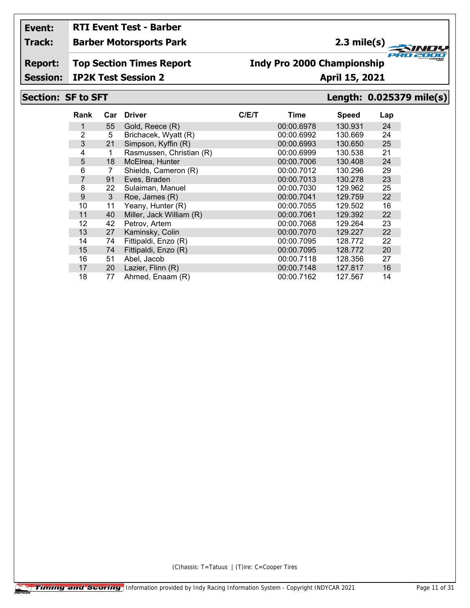# **RTI Event Test - Barber**

**Track: Barber Motorsports Park**

## **2.3 mile(s)**

**Report: Top Section Times Report**

## **Indy Pro 2000 Championship**

**Session: IP2K Test Session 2 April 15, 2021** 

#### **Section: SF to SFT Length: 0.025379 mile(s)**

**FRO 200** 

2000

| Rank           | Car | <b>Driver</b>            | C/E/T | Time       | <b>Speed</b> | Lap |
|----------------|-----|--------------------------|-------|------------|--------------|-----|
| 1              | 55  | Gold, Reece (R)          |       | 00:00.6978 | 130.931      | 24  |
| 2              | 5   | Brichacek, Wyatt (R)     |       | 00:00.6992 | 130.669      | 24  |
| 3              | 21  | Simpson, Kyffin (R)      |       | 00:00.6993 | 130.650      | 25  |
| 4              | 1   | Rasmussen, Christian (R) |       | 00:00.6999 | 130.538      | 21  |
| 5              | 18  | McElrea, Hunter          |       | 00:00.7006 | 130.408      | 24  |
| 6              | 7   | Shields, Cameron (R)     |       | 00:00.7012 | 130.296      | 29  |
| $\overline{7}$ | 91  | Eves, Braden             |       | 00:00.7013 | 130.278      | 23  |
| 8              | 22  | Sulaiman, Manuel         |       | 00:00.7030 | 129.962      | 25  |
| 9              | 3   | Roe, James (R)           |       | 00:00.7041 | 129.759      | 22  |
| 10             | 11  | Yeany, Hunter (R)        |       | 00:00.7055 | 129.502      | 16  |
| 11             | 40  | Miller, Jack William (R) |       | 00:00.7061 | 129.392      | 22  |
| 12             | 42  | Petrov, Artem            |       | 00:00.7068 | 129.264      | 23  |
| 13             | 27  | Kaminsky, Colin          |       | 00:00.7070 | 129.227      | 22  |
| 14             | 74  | Fittipaldi, Enzo (R)     |       | 00:00.7095 | 128.772      | 22  |
| 15             | 74  | Fittipaldi, Enzo (R)     |       | 00:00.7095 | 128.772      | 20  |
| 16             | 51  | Abel, Jacob              |       | 00:00.7118 | 128.356      | 27  |
| 17             | 20  | Lazier, Flinn (R)        |       | 00:00.7148 | 127.817      | 16  |
| 18             | 77  | Ahmed, Enaam (R)         |       | 00:00.7162 | 127.567      | 14  |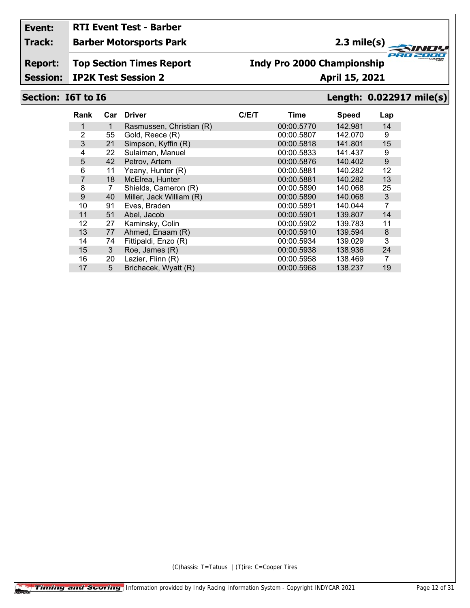## **RTI Event Test - Barber**

#### **Track: Barber Motorsports Park**

### **2.3 mile(s)**

**Report: Top Section Times Report**

## **Indy Pro 2000 Championship**

#### **Session: IP2K Test Session 2 April 15, 2021**

#### **Section: I6T to I6 Length: 0.022917 mile(s)**

| Rank           |    | Car Driver               | C/ET | Time       | <b>Speed</b> | Lap              |
|----------------|----|--------------------------|------|------------|--------------|------------------|
|                | 1  | Rasmussen, Christian (R) |      | 00:00.5770 | 142.981      | 14               |
| $\overline{2}$ | 55 | Gold, Reece (R)          |      | 00:00.5807 | 142.070      | 9                |
| 3              | 21 | Simpson, Kyffin (R)      |      | 00:00.5818 | 141.801      | 15               |
| 4              | 22 | Sulaiman, Manuel         |      | 00:00.5833 | 141.437      | 9                |
| 5              | 42 | Petrov, Artem            |      | 00:00.5876 | 140.402      | $\boldsymbol{9}$ |
| 6              | 11 | Yeany, Hunter (R)        |      | 00:00.5881 | 140.282      | 12               |
| $\overline{7}$ | 18 | McElrea, Hunter          |      | 00:00.5881 | 140.282      | 13               |
| 8              | 7  | Shields, Cameron (R)     |      | 00:00.5890 | 140.068      | 25               |
| 9              | 40 | Miller, Jack William (R) |      | 00:00.5890 | 140.068      | 3                |
| 10             | 91 | Eves, Braden             |      | 00:00.5891 | 140.044      | $\overline{7}$   |
| 11             | 51 | Abel, Jacob              |      | 00:00.5901 | 139.807      | 14               |
| 12             | 27 | Kaminsky, Colin          |      | 00:00.5902 | 139.783      | 11               |
| 13             | 77 | Ahmed, Enaam (R)         |      | 00:00.5910 | 139.594      | 8                |
| 14             | 74 | Fittipaldi, Enzo (R)     |      | 00:00.5934 | 139.029      | 3                |
| 15             | 3  | Roe, James (R)           |      | 00:00.5938 | 138.936      | 24               |
| 16             | 20 | Lazier, Flinn (R)        |      | 00:00.5958 | 138.469      | 7                |
| 17             | 5  | Brichacek, Wyatt (R)     |      | 00:00.5968 | 138.237      | 19               |
|                |    |                          |      |            |              |                  |

(C)hassis: T=Tatuus | (T)ire: C=Cooper Tires

**FRO 200** 2000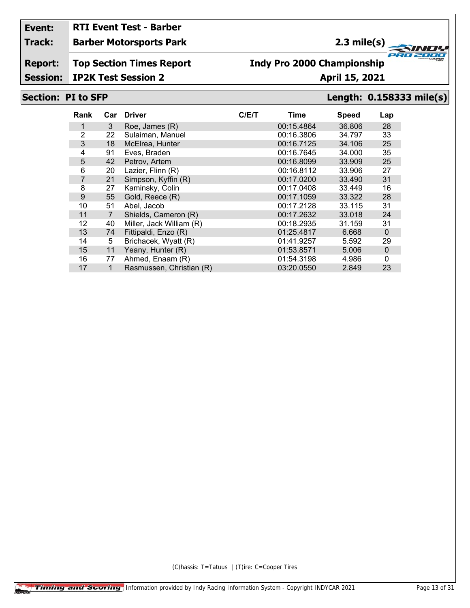## **RTI Event Test - Barber**

#### **Track: Barber Motorsports Park**

### **2.3 mile(s)**

**Report: Top Section Times Report**

### **Indy Pro 2000 Championship**

**Session: IP2K Test Session 2 April 15, 2021** 

#### **Section: PI to SFP Length: 0.158333 mile(s)**

**FRO 200** 

2000

| Rank           | Car            | <b>Driver</b>            | C/ET | Time       | <b>Speed</b> | Lap         |
|----------------|----------------|--------------------------|------|------------|--------------|-------------|
|                | 3              | Roe, James (R)           |      | 00:15.4864 | 36.806       | 28          |
| $\overline{2}$ | 22             | Sulaiman, Manuel         |      | 00:16.3806 | 34.797       | 33          |
| 3              | 18             | McElrea, Hunter          |      | 00:16.7125 | 34.106       | 25          |
| 4              | 91             | Eves, Braden             |      | 00:16.7645 | 34,000       | 35          |
| 5              | 42             | Petrov, Artem            |      | 00:16.8099 | 33.909       | 25          |
| 6              | 20             | Lazier, Flinn (R)        |      | 00:16.8112 | 33.906       | 27          |
| $\overline{7}$ | 21             | Simpson, Kyffin (R)      |      | 00:17.0200 | 33.490       | 31          |
| 8              | 27             | Kaminsky, Colin          |      | 00:17.0408 | 33.449       | 16          |
| 9              | 55             | Gold, Reece (R)          |      | 00:17.1059 | 33.322       | 28          |
| 10             | 51             | Abel, Jacob              |      | 00:17.2128 | 33.115       | 31          |
| 11             | $\overline{7}$ | Shields, Cameron (R)     |      | 00:17.2632 | 33.018       | 24          |
| 12             | 40             | Miller, Jack William (R) |      | 00:18.2935 | 31.159       | 31          |
| 13             | 74             | Fittipaldi, Enzo (R)     |      | 01:25.4817 | 6.668        | $\mathbf 0$ |
| 14             | 5              | Brichacek, Wyatt (R)     |      | 01:41.9257 | 5.592        | 29          |
| 15             | 11             | Yeany, Hunter (R)        |      | 01:53.8571 | 5.006        | $\mathbf 0$ |
| 16             | 77             | Ahmed, Enaam (R)         |      | 01:54.3198 | 4.986        | 0           |
| 17             | 1              | Rasmussen, Christian (R) |      | 03:20.0550 | 2.849        | 23          |
|                |                |                          |      |            |              |             |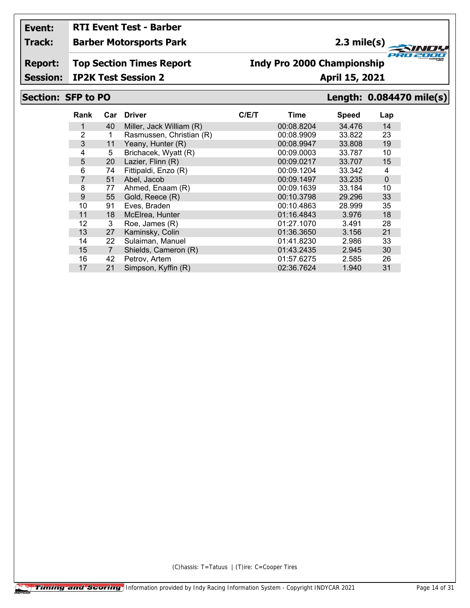# **RTI Event Test - Barber**

#### **Track: Barber Motorsports Park**

### **2.3 mile(s)**

**Report: Top Section Times Report**

## **Indy Pro 2000 Championship**

**Session: IP2K Test Session 2 April 15, 2021** 

### **Section: SFP to PO Length: 0.084470 mile(s)**

**FRO 200** 

2000

| Rank | Car | <b>Driver</b>            | C/ET | Time       | <b>Speed</b> | Lap         |
|------|-----|--------------------------|------|------------|--------------|-------------|
|      |     |                          |      |            |              |             |
|      | 40  | Miller, Jack William (R) |      | 00:08.8204 | 34.476       | 14          |
| 2    | 1   | Rasmussen, Christian (R) |      | 00:08.9909 | 33.822       | 23          |
| 3    | 11  | Yeany, Hunter (R)        |      | 00:08.9947 | 33,808       | 19          |
| 4    | 5   | Brichacek, Wyatt (R)     |      | 00:09.0003 | 33.787       | 10          |
| 5    | 20  | Lazier, Flinn (R)        |      | 00:09.0217 | 33.707       | 15          |
| 6    | 74  | Fittipaldi, Enzo (R)     |      | 00:09.1204 | 33.342       | 4           |
| 7    | 51  | Abel, Jacob              |      | 00:09.1497 | 33.235       | $\mathbf 0$ |
| 8    | 77  | Ahmed, Enaam (R)         |      | 00:09.1639 | 33.184       | 10          |
| 9    | 55  | Gold, Reece (R)          |      | 00:10.3798 | 29.296       | 33          |
| 10   | 91  | Eves, Braden             |      | 00:10.4863 | 28.999       | 35          |
| 11   | 18  | McElrea, Hunter          |      | 01:16.4843 | 3.976        | 18          |
| 12   | 3   | Roe, James (R)           |      | 01:27.1070 | 3.491        | 28          |
| 13   | 27  | Kaminsky, Colin          |      | 01:36.3650 | 3.156        | 21          |
| 14   | 22  | Sulaiman, Manuel         |      | 01:41.8230 | 2.986        | 33          |
| 15   | 7   | Shields, Cameron (R)     |      | 01:43.2435 | 2.945        | 30          |
| 16   | 42  | Petrov, Artem            |      | 01:57.6275 | 2.585        | 26          |
| 17   | 21  | Simpson, Kyffin (R)      |      | 02:36.7624 | 1.940        | 31          |
|      |     |                          |      |            |              |             |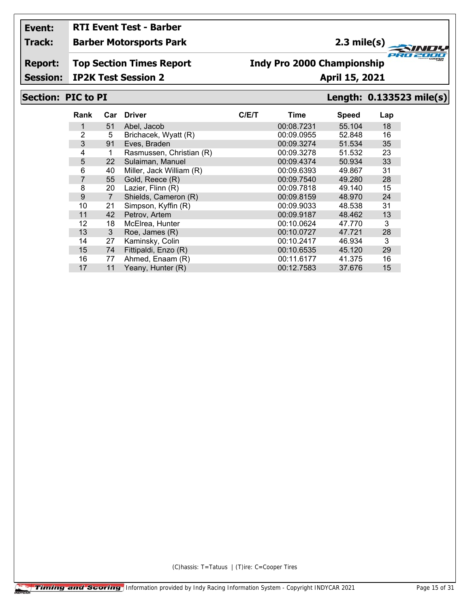# **RTI Event Test - Barber**

#### **Track: Barber Motorsports Park**

### **2.3 mile(s)**

**Report: Top Section Times Report**

### **Indy Pro 2000 Championship**

**Session: IP2K Test Session 2 April 15, 2021** 

#### **Section: PIC to PI Length: 0.133523 mile(s)**

**FRO 200** 

2000

| Rank           | Car            | <b>Driver</b>            | C/E/T | Time       | <b>Speed</b> | Lap |
|----------------|----------------|--------------------------|-------|------------|--------------|-----|
|                | 51             | Abel, Jacob              |       | 00:08.7231 | 55.104       | 18  |
| 2              | 5              | Brichacek, Wyatt (R)     |       | 00:09.0955 | 52.848       | 16  |
| 3              | 91             | Eves, Braden             |       | 00:09.3274 | 51.534       | 35  |
| 4              | 1              | Rasmussen, Christian (R) |       | 00:09.3278 | 51.532       | 23  |
| 5              | 22             | Sulaiman, Manuel         |       | 00:09.4374 | 50.934       | 33  |
| 6              | 40             | Miller, Jack William (R) |       | 00:09.6393 | 49.867       | 31  |
| $\overline{7}$ | 55             | Gold, Reece (R)          |       | 00:09.7540 | 49.280       | 28  |
| 8              | 20             | Lazier, Flinn (R)        |       | 00:09.7818 | 49.140       | 15  |
| 9              | $\overline{7}$ | Shields, Cameron (R)     |       | 00:09.8159 | 48.970       | 24  |
| 10             | 21             | Simpson, Kyffin (R)      |       | 00:09.9033 | 48.538       | 31  |
| 11             | 42             | Petrov, Artem            |       | 00:09.9187 | 48.462       | 13  |
| 12             | 18             | McElrea, Hunter          |       | 00:10.0624 | 47.770       | 3   |
| 13             | 3              | Roe, James (R)           |       | 00:10.0727 | 47.721       | 28  |
| 14             | 27             | Kaminsky, Colin          |       | 00:10.2417 | 46.934       | 3   |
| 15             | 74             | Fittipaldi, Enzo (R)     |       | 00:10.6535 | 45.120       | 29  |
| 16             | 77             | Ahmed, Enaam (R)         |       | 00:11.6177 | 41.375       | 16  |
| 17             | 11             | Yeany, Hunter (R)        |       | 00:12.7583 | 37.676       | 15  |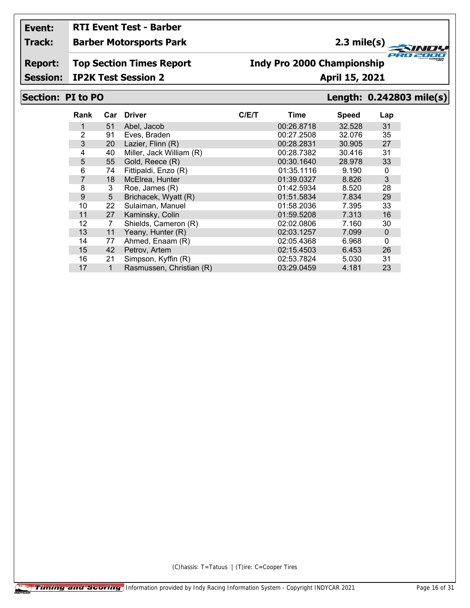## **RTI Event Test - Barber**

#### **Track: Barber Motorsports Park**

### **2.3 mile(s)**

**Report: Top Section Times Report**

## **Indy Pro 2000 Championship**

**Session: IP2K Test Session 2 April 15, 2021** 

#### **Section: PI to PO Length: 0.242803 mile(s)**

**FRO 200** 

2000

| Rank           | Car | <b>Driver</b>            | C/E/T | Time       | <b>Speed</b> | Lap         |
|----------------|-----|--------------------------|-------|------------|--------------|-------------|
|                | 51  | Abel, Jacob              |       | 00:26.8718 | 32.528       | 31          |
| $\overline{2}$ | 91  | Eves, Braden             |       | 00:27.2508 | 32.076       | 35          |
| 3              | 20  | Lazier, Flinn (R)        |       | 00:28.2831 | 30.905       | 27          |
| 4              | 40  | Miller, Jack William (R) |       | 00:28.7382 | 30.416       | 31          |
| 5              | 55  | Gold, Reece (R)          |       | 00:30.1640 | 28.978       | 33          |
| 6              | 74  | Fittipaldi, Enzo (R)     |       | 01:35.1116 | 9.190        | 0           |
| $\overline{7}$ | 18  | McElrea, Hunter          |       | 01:39.0327 | 8.826        | 3           |
| 8              | 3   | Roe, James (R)           |       | 01:42.5934 | 8.520        | 28          |
| 9              | 5   | Brichacek, Wyatt (R)     |       | 01:51.5834 | 7.834        | 29          |
| 10             | 22  | Sulaiman, Manuel         |       | 01:58.2036 | 7.395        | 33          |
| 11             | 27  | Kaminsky, Colin          |       | 01:59.5208 | 7.313        | 16          |
| 12             | 7   | Shields, Cameron (R)     |       | 02:02.0806 | 7.160        | 30          |
| 13             | 11  | Yeany, Hunter (R)        |       | 02:03.1257 | 7.099        | $\mathbf 0$ |
| 14             | 77  | Ahmed, Enaam (R)         |       | 02:05.4368 | 6.968        | 0           |
| 15             | 42  | Petrov, Artem            |       | 02:15.4503 | 6.453        | 26          |
| 16             | 21  | Simpson, Kyffin (R)      |       | 02:53.7824 | 5.030        | 31          |
| 17             | 1   | Rasmussen, Christian (R) |       | 03:29.0459 | 4.181        | 23          |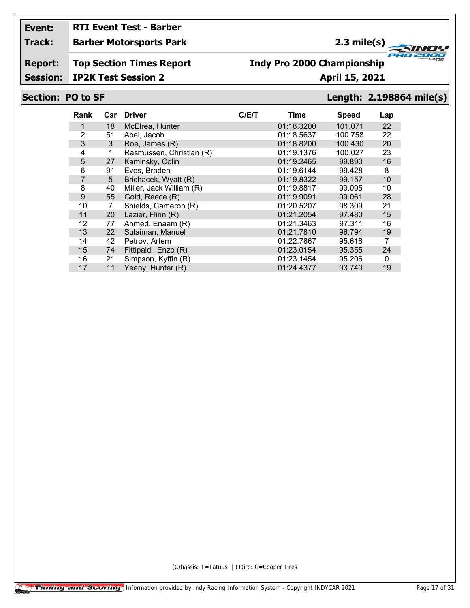# **RTI Event Test - Barber**

#### **Track: Barber Motorsports Park**

### **2.3 mile(s)**

**Report: Top Section Times Report**

# **Indy Pro 2000 Championship**

**Session: IP2K Test Session 2 April 15, 2021** 

#### **Section: PO to SF Length: 2.198864 mile(s)**

**FRO 200** 

2000

| Rank | Car | <b>Driver</b>            | C/ET | Time       | <b>Speed</b> | Lap |
|------|-----|--------------------------|------|------------|--------------|-----|
| 1    | 18  | McElrea, Hunter          |      | 01:18.3200 | 101.071      | 22  |
| 2    | 51  | Abel, Jacob              |      | 01:18.5637 | 100.758      | 22  |
| 3    | 3   | Roe, James (R)           |      | 01:18.8200 | 100.430      | 20  |
| 4    | 1   | Rasmussen, Christian (R) |      | 01:19.1376 | 100.027      | 23  |
| 5    | 27  | Kaminsky, Colin          |      | 01:19.2465 | 99.890       | 16  |
| 6    | 91  | Eves, Braden             |      | 01:19.6144 | 99.428       | 8   |
| 7    | 5   | Brichacek, Wyatt (R)     |      | 01:19.8322 | 99.157       | 10  |
| 8    | 40  | Miller, Jack William (R) |      | 01:19.8817 | 99.095       | 10  |
| 9    | 55  | Gold, Reece (R)          |      | 01:19.9091 | 99.061       | 28  |
| 10   | 7   | Shields, Cameron (R)     |      | 01:20.5207 | 98.309       | 21  |
| 11   | 20  | Lazier, Flinn (R)        |      | 01:21.2054 | 97.480       | 15  |
| 12   | 77  | Ahmed, Enaam (R)         |      | 01:21.3463 | 97.311       | 16  |
| 13   | 22  | Sulaiman, Manuel         |      | 01:21.7810 | 96.794       | 19  |
| 14   | 42  | Petrov, Artem            |      | 01:22.7867 | 95.618       | 7   |
| 15   | 74  | Fittipaldi, Enzo (R)     |      | 01:23.0154 | 95.355       | 24  |
| 16   | 21  | Simpson, Kyffin (R)      |      | 01:23.1454 | 95.206       | 0   |
| 17   | 11  | Yeany, Hunter (R)        |      | 01:24.4377 | 93.749       | 19  |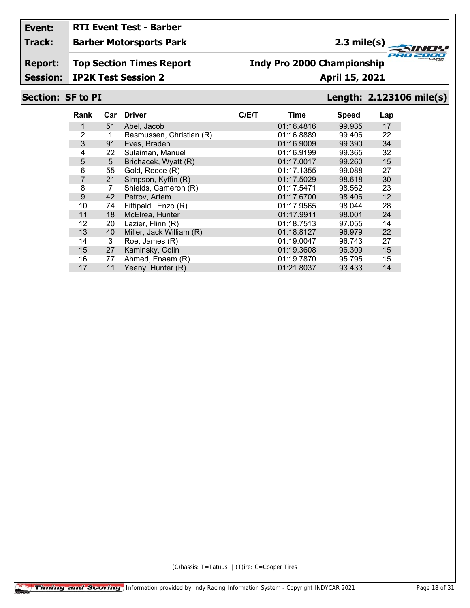# **RTI Event Test - Barber**

#### **Track: Barber Motorsports Park**

### **2.3 mile(s)**

**Report: Top Section Times Report**

#### **Indy Pro 2000 Championship**

**Session: IP2K Test Session 2 April 15, 2021** 

#### **Section: SF to PI Length: 2.123106 mile(s)**

**FRO 200** 

2000

| Rank           | Car | <b>Driver</b>            | C/E/T | Time       | <b>Speed</b> | Lap |
|----------------|-----|--------------------------|-------|------------|--------------|-----|
|                | 51  | Abel, Jacob              |       | 01:16.4816 | 99.935       | 17  |
| $\overline{2}$ | 1   | Rasmussen, Christian (R) |       | 01:16.8889 | 99.406       | 22  |
| 3              | 91  | Eves, Braden             |       | 01:16.9009 | 99.390       | 34  |
| 4              | 22  | Sulaiman, Manuel         |       | 01:16.9199 | 99.365       | 32  |
| 5              | 5   | Brichacek, Wyatt (R)     |       | 01:17.0017 | 99.260       | 15  |
| 6              | 55  | Gold, Reece (R)          |       | 01:17.1355 | 99.088       | 27  |
| $\overline{7}$ | 21  | Simpson, Kyffin (R)      |       | 01:17.5029 | 98.618       | 30  |
| 8              | 7   | Shields, Cameron (R)     |       | 01:17.5471 | 98.562       | 23  |
| 9              | 42  | Petrov, Artem            |       | 01:17.6700 | 98.406       | 12  |
| 10             | 74  | Fittipaldi, Enzo (R)     |       | 01:17.9565 | 98.044       | 28  |
| 11             | 18  | McElrea, Hunter          |       | 01:17.9911 | 98.001       | 24  |
| 12             | 20  | Lazier, Flinn (R)        |       | 01:18.7513 | 97.055       | 14  |
| 13             | 40  | Miller, Jack William (R) |       | 01:18.8127 | 96.979       | 22  |
| 14             | 3   | Roe, James (R)           |       | 01:19.0047 | 96.743       | 27  |
| 15             | 27  | Kaminsky, Colin          |       | 01:19.3608 | 96.309       | 15  |
| 16             | 77  | Ahmed, Enaam (R)         |       | 01:19.7870 | 95.795       | 15  |
| 17             | 11  | Yeany, Hunter (R)        |       | 01:21.8037 | 93.433       | 14  |
|                |     |                          |       |            |              |     |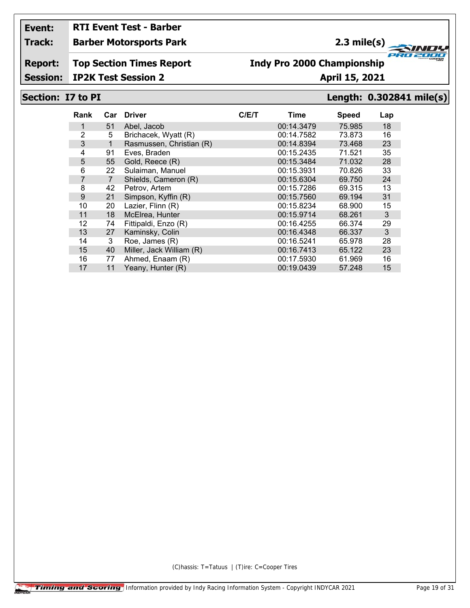# **RTI Event Test - Barber**

#### **Track: Barber Motorsports Park**

### **2.3 mile(s)**

**Report: Top Section Times Report**

### **Indy Pro 2000 Championship**

**Session: IP2K Test Session 2 April 15, 2021** 

#### **Section: I7 to PI Length: 0.302841 mile(s)**

**FRO 200** 

2000

| Rank           | Car            | <b>Driver</b>            | C/ET | Time       | <b>Speed</b> | Lap |
|----------------|----------------|--------------------------|------|------------|--------------|-----|
|                | 51             | Abel, Jacob              |      | 00:14.3479 | 75.985       | 18  |
| 2              | 5              | Brichacek, Wyatt (R)     |      | 00:14.7582 | 73.873       | 16  |
| 3              | 1              | Rasmussen, Christian (R) |      | 00:14.8394 | 73.468       | 23  |
| 4              | 91             | Eves, Braden             |      | 00:15.2435 | 71.521       | 35  |
| 5              | 55             | Gold, Reece (R)          |      | 00:15.3484 | 71.032       | 28  |
| 6              | 22             | Sulaiman, Manuel         |      | 00:15.3931 | 70.826       | 33  |
| $\overline{7}$ | $\overline{7}$ | Shields, Cameron (R)     |      | 00:15.6304 | 69.750       | 24  |
| 8              | 42             | Petrov, Artem            |      | 00:15.7286 | 69.315       | 13  |
| 9              | 21             | Simpson, Kyffin (R)      |      | 00:15.7560 | 69.194       | 31  |
| 10             | 20             | Lazier, Flinn (R)        |      | 00:15.8234 | 68.900       | 15  |
| 11             | 18             | McElrea, Hunter          |      | 00:15.9714 | 68.261       | 3   |
| 12             | 74             | Fittipaldi, Enzo (R)     |      | 00:16.4255 | 66.374       | 29  |
| 13             | 27             | Kaminsky, Colin          |      | 00:16.4348 | 66.337       | 3   |
| 14             | 3              | Roe, James (R)           |      | 00:16.5241 | 65.978       | 28  |
| 15             | 40             | Miller, Jack William (R) |      | 00:16.7413 | 65.122       | 23  |
| 16             | 77             | Ahmed, Enaam (R)         |      | 00:17.5930 | 61.969       | 16  |
| 17             | 11             | Yeany, Hunter (R)        |      | 00:19.0439 | 57.248       | 15  |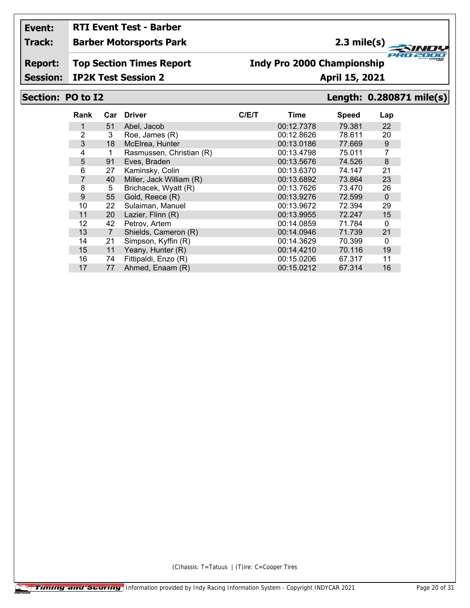## **RTI Event Test - Barber**

#### **Track: Barber Motorsports Park**

### **2.3 mile(s)**

**Report: Top Section Times Report**

### **Indy Pro 2000 Championship**

**Session: IP2K Test Session 2 April 15, 2021** 

#### **Section: PO to I2 Length: 0.280871 mile(s)**

**FRO 200** 

2000

| Rank           | Car            | <b>Driver</b>            | C/E/T | Time       | <b>Speed</b> | Lap          |
|----------------|----------------|--------------------------|-------|------------|--------------|--------------|
|                | 51             | Abel, Jacob              |       | 00:12.7378 | 79.381       | 22           |
| 2              | 3              | Roe, James (R)           |       | 00:12.8626 | 78.611       | 20           |
| 3              | 18             | McElrea, Hunter          |       | 00:13.0186 | 77.669       | 9            |
| 4              |                | Rasmussen, Christian (R) |       | 00:13.4798 | 75.011       | 7            |
| 5              | 91             | Eves, Braden             |       | 00:13.5676 | 74.526       | 8            |
| 6              | 27             | Kaminsky, Colin          |       | 00:13.6370 | 74.147       | 21           |
| $\overline{7}$ | 40             | Miller, Jack William (R) |       | 00:13.6892 | 73.864       | 23           |
| 8              | 5              | Brichacek, Wyatt (R)     |       | 00:13.7626 | 73.470       | 26           |
| 9              | 55             | Gold, Reece (R)          |       | 00:13.9276 | 72.599       | $\Omega$     |
| 10             | 22             | Sulaiman, Manuel         |       | 00:13.9672 | 72.394       | 29           |
| 11             | 20             | Lazier, Flinn (R)        |       | 00:13.9955 | 72.247       | 15           |
| 12             | 42             | Petrov, Artem            |       | 00:14.0859 | 71.784       | $\mathbf{0}$ |
| 13             | $\overline{7}$ | Shields, Cameron (R)     |       | 00:14.0946 | 71.739       | 21           |
| 14             | 21             | Simpson, Kyffin (R)      |       | 00:14.3629 | 70.399       | 0            |
| 15             | 11             | Yeany, Hunter (R)        |       | 00:14.4210 | 70.116       | 19           |
| 16             | 74             | Fittipaldi, Enzo (R)     |       | 00:15.0206 | 67.317       | 11           |
| 17             | 77             | Ahmed, Enaam (R)         |       | 00:15.0212 | 67.314       | 16           |
|                |                |                          |       |            |              |              |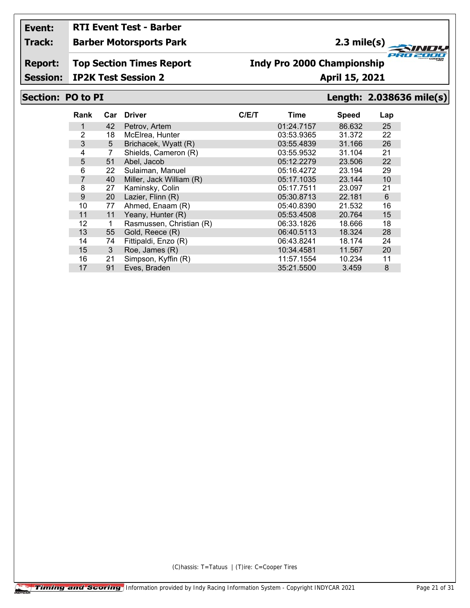**Session:**

## **RTI Event Test - Barber**

#### **Track: Barber Motorsports Park**

### **2.3 mile(s)**

**Report: Top Section Times Report**

#### **Indy Pro 2000 Championship**

**IP2K Test Session 2 April 15, 2021** 

#### **Section: PO to PI Length: 2.038636 mile(s)**

**FRO 200** 

2000

| Rank           | Car | <b>Driver</b>            | C/ET | Time       | <b>Speed</b> | Lap            |
|----------------|-----|--------------------------|------|------------|--------------|----------------|
| 1              | 42  | Petrov, Artem            |      | 01:24.7157 | 86.632       | 25             |
| 2              | 18  | McElrea, Hunter          |      | 03:53.9365 | 31.372       | 22             |
| 3              | 5   | Brichacek, Wyatt (R)     |      | 03:55.4839 | 31.166       | 26             |
| 4              | 7   | Shields, Cameron (R)     |      | 03:55.9532 | 31.104       | 21             |
| 5              | 51  | Abel, Jacob              |      | 05:12.2279 | 23.506       | 22             |
| 6              | 22  | Sulaiman, Manuel         |      | 05:16.4272 | 23.194       | 29             |
| $\overline{7}$ | 40  | Miller, Jack William (R) |      | 05:17.1035 | 23.144       | 10             |
| 8              | 27  | Kaminsky, Colin          |      | 05:17.7511 | 23.097       | 21             |
| 9              | 20  | Lazier, Flinn (R)        |      | 05:30.8713 | 22.181       | $6\phantom{1}$ |
| 10             | 77  | Ahmed, Enaam (R)         |      | 05:40.8390 | 21.532       | 16             |
| 11             | 11  | Yeany, Hunter (R)        |      | 05:53.4508 | 20.764       | 15             |
| 12             | 1   | Rasmussen, Christian (R) |      | 06:33.1826 | 18.666       | 18             |
| 13             | 55  | Gold, Reece (R)          |      | 06:40.5113 | 18.324       | 28             |
| 14             | 74  | Fittipaldi, Enzo (R)     |      | 06:43.8241 | 18.174       | 24             |
| 15             | 3   | Roe, James (R)           |      | 10:34.4581 | 11.567       | 20             |
| 16             | 21  | Simpson, Kyffin (R)      |      | 11:57.1554 | 10.234       | 11             |
| 17             | 91  | Eves, Braden             |      | 35:21.5500 | 3.459        | 8              |
|                |     |                          |      |            |              |                |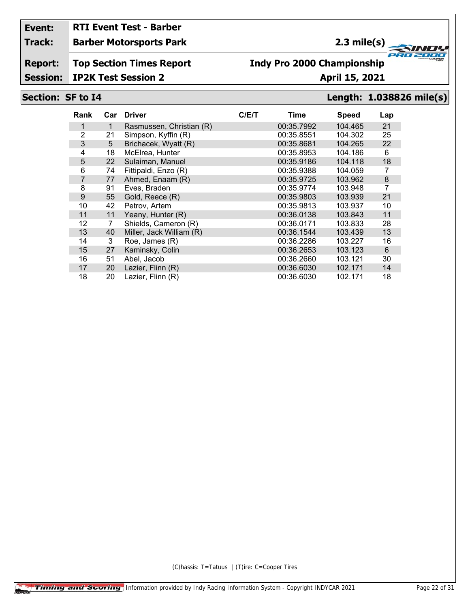# **RTI Event Test - Barber**

#### **Track: Barber Motorsports Park**

#### **2.3 mile(s)**

**Report: Top Section Times Report**

#### **Indy Pro 2000 Championship**

**Session: IP2K Test Session 2 April 15, 2021** 

### **Section: SF to I4 Length: 1.038826 mile(s)**

**FRO 200** 

2000

| Rank |                | Car Driver               | C/ET | <b>Time</b> | <b>Speed</b> | Lap            |
|------|----------------|--------------------------|------|-------------|--------------|----------------|
| 1    | 1              | Rasmussen, Christian (R) |      | 00:35.7992  | 104.465      | 21             |
| 2    | 21             | Simpson, Kyffin (R)      |      | 00:35.8551  | 104.302      | 25             |
| 3    | 5              | Brichacek, Wyatt (R)     |      | 00:35.8681  | 104.265      | 22             |
| 4    | 18             | McElrea, Hunter          |      | 00:35.8953  | 104.186      | 6              |
| 5    | 22             | Sulaiman, Manuel         |      | 00:35.9186  | 104.118      | 18             |
| 6    | 74             | Fittipaldi, Enzo (R)     |      | 00:35.9388  | 104.059      | 7              |
| 7    | 77             | Ahmed, Enaam (R)         |      | 00:35.9725  | 103.962      | 8              |
| 8    | 91             | Eves, Braden             |      | 00:35.9774  | 103.948      | $\overline{7}$ |
| 9    | 55             | Gold, Reece (R)          |      | 00:35.9803  | 103.939      | 21             |
| 10   | 42             | Petrov, Artem            |      | 00:35.9813  | 103.937      | 10             |
| 11   | 11             | Yeany, Hunter (R)        |      | 00:36.0138  | 103.843      | 11             |
| 12   | $\overline{7}$ | Shields, Cameron (R)     |      | 00:36.0171  | 103.833      | 28             |
| 13   | 40             | Miller, Jack William (R) |      | 00:36.1544  | 103.439      | 13             |
| 14   | 3              | Roe, James (R)           |      | 00:36.2286  | 103.227      | 16             |
| 15   | 27             | Kaminsky, Colin          |      | 00:36.2653  | 103.123      | 6              |
| 16   | 51             | Abel. Jacob              |      | 00:36.2660  | 103.121      | 30             |
| 17   | 20             | Lazier, Flinn (R)        |      | 00:36.6030  | 102.171      | 14             |
| 18   | 20             | Lazier, Flinn (R)        |      | 00:36.6030  | 102.171      | 18             |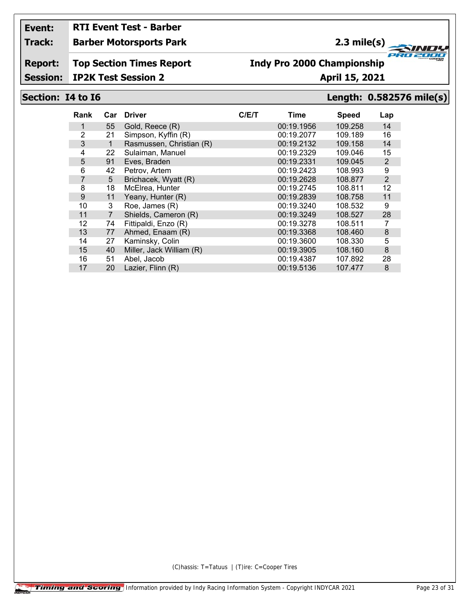# **RTI Event Test - Barber**

**Track: Barber Motorsports Park**

## **2.3 mile(s)**

**Report: Top Section Times Report**

#### **Indy Pro 2000 Championship**

**Session: IP2K Test Session 2 April 15, 2021**

#### **Section: I4 to I6 Length: 0.582576 mile(s)**

**FRO 200** 

2000

| Rank           | Car            | <b>Driver</b>            | C/ET | Time       | <b>Speed</b> | Lap            |
|----------------|----------------|--------------------------|------|------------|--------------|----------------|
|                | 55             | Gold, Reece (R)          |      | 00:19.1956 | 109.258      | 14             |
| 2              | 21             | Simpson, Kyffin (R)      |      | 00:19.2077 | 109.189      | 16             |
| 3              | $\mathbf{1}$   | Rasmussen, Christian (R) |      | 00:19.2132 | 109.158      | 14             |
| 4              | 22             | Sulaiman, Manuel         |      | 00:19.2329 | 109.046      | 15             |
| 5              | 91             | Eves, Braden             |      | 00:19.2331 | 109.045      | $\overline{2}$ |
| 6              | 42             | Petrov, Artem            |      | 00:19.2423 | 108.993      | 9              |
| $\overline{7}$ | 5              | Brichacek, Wyatt (R)     |      | 00:19.2628 | 108.877      | $\overline{2}$ |
| 8              | 18             | McElrea, Hunter          |      | 00:19.2745 | 108.811      | 12             |
| 9              | 11             | Yeany, Hunter (R)        |      | 00:19.2839 | 108.758      | 11             |
| 10             | 3              | Roe, James (R)           |      | 00:19.3240 | 108.532      | 9              |
| 11             | $\overline{7}$ | Shields, Cameron (R)     |      | 00:19.3249 | 108.527      | 28             |
| 12             | 74             | Fittipaldi, Enzo (R)     |      | 00:19.3278 | 108.511      | 7              |
| 13             | 77             | Ahmed, Enaam (R)         |      | 00:19.3368 | 108.460      | $\bf 8$        |
| 14             | 27             | Kaminsky, Colin          |      | 00:19.3600 | 108.330      | 5              |
| 15             | 40             | Miller, Jack William (R) |      | 00:19.3905 | 108.160      | 8              |
| 16             | 51             | Abel, Jacob              |      | 00:19.4387 | 107.892      | 28             |
| 17             | 20             | Lazier, Flinn (R)        |      | 00:19.5136 | 107.477      | 8              |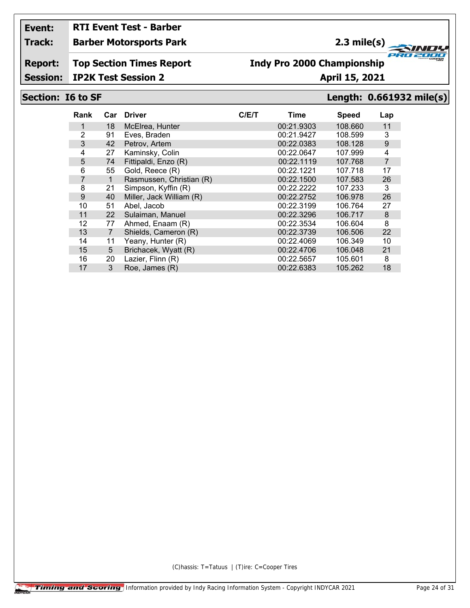# **RTI Event Test - Barber**

#### **Track: Barber Motorsports Park**

### **2.3 mile(s)**

**Report: Top Section Times Report**

## **Indy Pro 2000 Championship**

**Session: IP2K Test Session 2 April 15, 2021** 

#### **Section: I6 to SF Length: 0.661932 mile(s)**

**FRO 200** 

2000

| Rank           | Car            | <b>Driver</b>            | C/ET | Time       | <b>Speed</b> | Lap            |
|----------------|----------------|--------------------------|------|------------|--------------|----------------|
|                | 18             | McElrea, Hunter          |      | 00:21.9303 | 108.660      | 11             |
| 2              | 91             | Eves, Braden             |      | 00:21.9427 | 108.599      | 3              |
| 3              | 42             | Petrov, Artem            |      | 00:22.0383 | 108.128      | 9              |
| 4              | 27             | Kaminsky, Colin          |      | 00:22.0647 | 107.999      | 4              |
| 5              | 74             | Fittipaldi, Enzo (R)     |      | 00:22.1119 | 107.768      | $\overline{7}$ |
| 6              | 55             | Gold, Reece (R)          |      | 00:22.1221 | 107.718      | 17             |
| $\overline{7}$ | $\mathbf{1}$   | Rasmussen, Christian (R) |      | 00:22.1500 | 107.583      | 26             |
| 8              | 21             | Simpson, Kyffin (R)      |      | 00:22.2222 | 107.233      | 3              |
| 9              | 40             | Miller, Jack William (R) |      | 00:22.2752 | 106.978      | 26             |
| 10             | 51             | Abel, Jacob              |      | 00:22.3199 | 106.764      | 27             |
| 11             | 22             | Sulaiman, Manuel         |      | 00:22.3296 | 106.717      | 8              |
| 12             | 77             | Ahmed, Enaam (R)         |      | 00:22.3534 | 106.604      | 8              |
| 13             | $\overline{7}$ | Shields, Cameron (R)     |      | 00:22.3739 | 106.506      | 22             |
| 14             | 11             | Yeany, Hunter (R)        |      | 00:22.4069 | 106.349      | 10             |
| 15             | 5              | Brichacek, Wyatt (R)     |      | 00:22.4706 | 106.048      | 21             |
| 16             | 20             | Lazier, Flinn (R)        |      | 00:22.5657 | 105.601      | 8              |
| 17             | 3              | Roe, James (R)           |      | 00:22.6383 | 105.262      | 18             |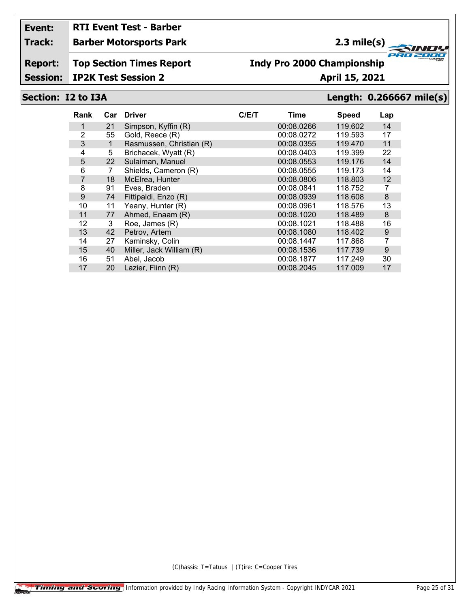## **RTI Event Test - Barber**

**Track: Barber Motorsports Park**

## **2.3 mile(s)**

**Report: Top Section Times Report**

## **Indy Pro 2000 Championship**

**Session: IP2K Test Session 2 April 15, 2021** 

#### **Section: I2 to I3A Length: 0.266667 mile(s)**

**FRO 200** 

2000

| Rank | Car | <b>Driver</b>            | C/ET | Time       | <b>Speed</b> | Lap   |
|------|-----|--------------------------|------|------------|--------------|-------|
|      | 21  | Simpson, Kyffin (R)      |      | 00:08.0266 | 119.602      | 14    |
| 2    | 55  | Gold, Reece (R)          |      | 00:08.0272 | 119.593      | 17    |
| 3    | 1   | Rasmussen, Christian (R) |      | 00:08.0355 | 119.470      | 11    |
| 4    | 5   | Brichacek, Wyatt (R)     |      | 00:08.0403 | 119.399      | 22    |
| 5    | 22  | Sulaiman, Manuel         |      | 00:08.0553 | 119.176      | 14    |
| 6    | 7   | Shields, Cameron (R)     |      | 00:08.0555 | 119.173      | 14    |
| 7    | 18  | McElrea, Hunter          |      | 00:08.0806 | 118.803      | 12    |
| 8    | 91  | Eves, Braden             |      | 00:08.0841 | 118.752      | 7     |
| 9    | 74  | Fittipaldi, Enzo (R)     |      | 00:08.0939 | 118,608      | 8     |
| 10   | 11  | Yeany, Hunter (R)        |      | 00:08.0961 | 118.576      | 13    |
| 11   | 77  | Ahmed, Enaam (R)         |      | 00:08.1020 | 118.489      | 8     |
| 12   | 3   | Roe, James (R)           |      | 00:08.1021 | 118.488      | 16    |
| 13   | 42  | Petrov, Artem            |      | 00:08.1080 | 118.402      | $9\,$ |
| 14   | 27  | Kaminsky, Colin          |      | 00:08.1447 | 117.868      | 7     |
| 15   | 40  | Miller, Jack William (R) |      | 00:08.1536 | 117.739      | 9     |
| 16   | 51  | Abel, Jacob              |      | 00:08.1877 | 117.249      | 30    |
| 17   | 20  | Lazier, Flinn (R)        |      | 00:08.2045 | 117.009      | 17    |
|      |     |                          |      |            |              |       |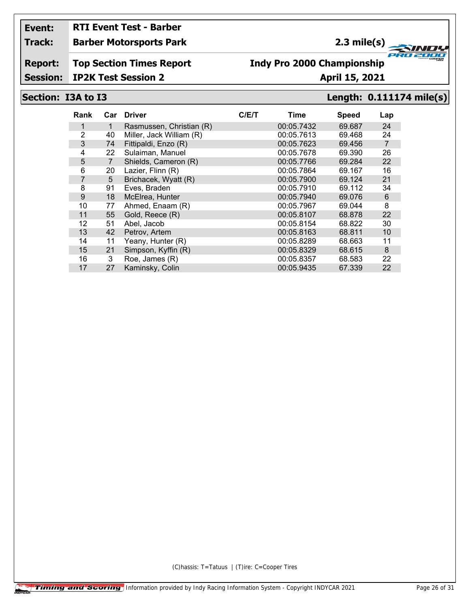# **RTI Event Test - Barber**

**Track: Barber Motorsports Park**

## **2.3 mile(s)**

**Report: Top Section Times Report**

### **Indy Pro 2000 Championship**

#### **Session: IP2K Test Session 2 April 15, 2021**

#### **Section: I3A to I3 Length: 0.111174 mile(s)**

**FRO 200** 

2000

| Rank           | Car | <b>Driver</b>            | C/ET | Time       | <b>Speed</b> | Lap            |
|----------------|-----|--------------------------|------|------------|--------------|----------------|
|                | 1   | Rasmussen, Christian (R) |      | 00:05.7432 | 69.687       | 24             |
| 2              | 40  | Miller, Jack William (R) |      | 00:05.7613 | 69.468       | 24             |
| 3              | 74  | Fittipaldi, Enzo (R)     |      | 00:05.7623 | 69.456       | $\overline{7}$ |
| 4              | 22  | Sulaiman, Manuel         |      | 00:05.7678 | 69.390       | 26             |
| 5              | 7   | Shields, Cameron (R)     |      | 00:05.7766 | 69.284       | 22             |
| 6              | 20  | Lazier, Flinn (R)        |      | 00:05.7864 | 69.167       | 16             |
| $\overline{7}$ | 5   | Brichacek, Wyatt (R)     |      | 00:05.7900 | 69.124       | 21             |
| 8              | 91  | Eves, Braden             |      | 00:05.7910 | 69.112       | 34             |
| 9              | 18  | McElrea, Hunter          |      | 00:05.7940 | 69.076       | 6              |
| 10             | 77  | Ahmed, Enaam (R)         |      | 00:05.7967 | 69.044       | 8              |
| 11             | 55  | Gold, Reece (R)          |      | 00:05.8107 | 68.878       | 22             |
| 12             | 51  | Abel, Jacob              |      | 00:05.8154 | 68.822       | 30             |
| 13             | 42  | Petrov, Artem            |      | 00:05.8163 | 68.811       | 10             |
| 14             | 11  | Yeany, Hunter (R)        |      | 00:05.8289 | 68.663       | 11             |
| 15             | 21  | Simpson, Kyffin (R)      |      | 00:05.8329 | 68.615       | 8              |
| 16             | 3   | Roe, James (R)           |      | 00:05.8357 | 68.583       | 22             |
| 17             | 27  | Kaminsky, Colin          |      | 00:05.9435 | 67.339       | 22             |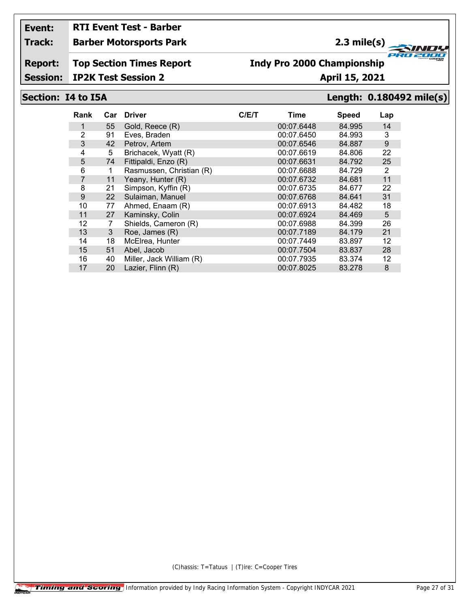# **RTI Event Test - Barber**

#### **Track: Barber Motorsports Park**

### **2.3 mile(s)**

**Report: Top Section Times Report**

#### **Indy Pro 2000 Championship**

**Session: IP2K Test Session 2 April 15, 2021** 

### **Section: I4 to I5A Length: 0.180492 mile(s)**

**FRO 200** 

2000

| Rank | Car | <b>Driver</b>            | C/ET | Time       | <b>Speed</b> | Lap |
|------|-----|--------------------------|------|------------|--------------|-----|
|      | 55  | Gold, Reece (R)          |      | 00:07.6448 | 84.995       | 14  |
| 2    | 91  | Eves, Braden             |      | 00:07.6450 | 84.993       | 3   |
| 3    | 42  | Petrov, Artem            |      | 00:07.6546 | 84.887       | 9   |
| 4    | 5   | Brichacek, Wyatt (R)     |      | 00:07.6619 | 84.806       | 22  |
| 5    | 74  | Fittipaldi, Enzo (R)     |      | 00:07.6631 | 84.792       | 25  |
| 6    | 1   | Rasmussen, Christian (R) |      | 00:07.6688 | 84.729       | 2   |
| 7    | 11  | Yeany, Hunter (R)        |      | 00:07.6732 | 84.681       | 11  |
| 8    | 21  | Simpson, Kyffin (R)      |      | 00:07.6735 | 84.677       | 22  |
| 9    | 22  | Sulaiman, Manuel         |      | 00:07.6768 | 84.641       | 31  |
| 10   | 77  | Ahmed, Enaam (R)         |      | 00:07.6913 | 84.482       | 18  |
| 11   | 27  | Kaminsky, Colin          |      | 00:07.6924 | 84.469       | 5   |
| 12   | 7   | Shields, Cameron (R)     |      | 00:07.6988 | 84.399       | 26  |
| 13   | 3   | Roe, James (R)           |      | 00:07.7189 | 84.179       | 21  |
| 14   | 18  | McElrea, Hunter          |      | 00:07.7449 | 83.897       | 12  |
| 15   | 51  | Abel, Jacob              |      | 00:07.7504 | 83.837       | 28  |
| 16   | 40  | Miller, Jack William (R) |      | 00:07.7935 | 83.374       | 12  |
| 17   | 20  | Lazier, Flinn (R)        |      | 00:07.8025 | 83.278       | 8   |
|      |     |                          |      |            |              |     |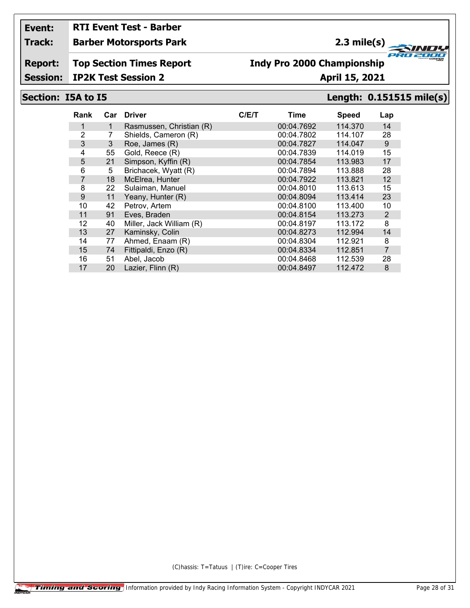# **RTI Event Test - Barber**

#### **Track: Barber Motorsports Park**

### **2.3 mile(s)**

**Report: Top Section Times Report**

#### **Indy Pro 2000 Championship**

**Session: IP2K Test Session 2 April 15, 2021** 

#### **Section: I5A to I5 Length: 0.151515 mile(s)**

**FRO 200** 

2000

| Rank           |    | Car Driver               | C/ET | Time       | <b>Speed</b> | Lap            |
|----------------|----|--------------------------|------|------------|--------------|----------------|
|                | 1  | Rasmussen, Christian (R) |      | 00:04.7692 | 114,370      | 14             |
| $\overline{2}$ |    | Shields, Cameron (R)     |      | 00:04.7802 | 114.107      | 28             |
| 3              | 3  | Roe, James (R)           |      | 00:04.7827 | 114.047      | 9              |
| 4              | 55 | Gold, Reece (R)          |      | 00:04.7839 | 114.019      | 15             |
| 5              | 21 | Simpson, Kyffin (R)      |      | 00:04.7854 | 113.983      | 17             |
| 6              | 5  | Brichacek, Wyatt (R)     |      | 00:04.7894 | 113.888      | 28             |
| $\overline{7}$ | 18 | McElrea, Hunter          |      | 00:04.7922 | 113.821      | 12             |
| 8              | 22 | Sulaiman, Manuel         |      | 00:04.8010 | 113.613      | 15             |
| 9              | 11 | Yeany, Hunter (R)        |      | 00:04.8094 | 113.414      | 23             |
| 10             | 42 | Petrov, Artem            |      | 00:04.8100 | 113.400      | 10             |
| 11             | 91 | Eves, Braden             |      | 00:04.8154 | 113.273      | $\overline{2}$ |
| 12             | 40 | Miller, Jack William (R) |      | 00:04.8197 | 113.172      | 8              |
| 13             | 27 | Kaminsky, Colin          |      | 00:04.8273 | 112.994      | 14             |
| 14             | 77 | Ahmed, Enaam (R)         |      | 00:04.8304 | 112.921      | 8              |
| 15             | 74 | Fittipaldi, Enzo (R)     |      | 00:04.8334 | 112.851      | $\overline{7}$ |
| 16             | 51 | Abel, Jacob              |      | 00:04.8468 | 112.539      | 28             |
| 17             | 20 | Lazier, Flinn (R)        |      | 00:04.8497 | 112.472      | 8              |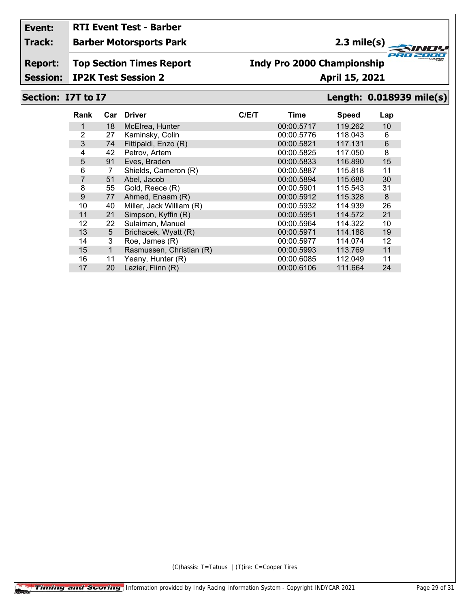## **RTI Event Test - Barber**

**Track: Barber Motorsports Park**

## **2.3 mile(s)**

**Report: Top Section Times Report**

### **Indy Pro 2000 Championship**

**Session: IP2K Test Session 2 April 15, 2021** 

#### **Section: I7T to I7 Length: 0.018939 mile(s)**

**FRO 200** 

2000

| Rank           | Car | <b>Driver</b>            | C/ET | Time       | Speed   | Lap |
|----------------|-----|--------------------------|------|------------|---------|-----|
|                | 18  | McElrea, Hunter          |      | 00:00.5717 | 119.262 | 10  |
| 2              | 27  | Kaminsky, Colin          |      | 00:00.5776 | 118.043 | 6   |
| 3              | 74  | Fittipaldi, Enzo (R)     |      | 00:00.5821 | 117.131 | 6   |
| 4              | 42  | Petrov, Artem            |      | 00:00.5825 | 117.050 | 8   |
| 5              | 91  | Eves, Braden             |      | 00:00.5833 | 116.890 | 15  |
| 6              | 7   | Shields, Cameron (R)     |      | 00:00.5887 | 115.818 | 11  |
| $\overline{7}$ | 51  | Abel, Jacob              |      | 00:00.5894 | 115.680 | 30  |
| 8              | 55  | Gold, Reece (R)          |      | 00:00.5901 | 115.543 | 31  |
| 9              | 77  | Ahmed, Enaam (R)         |      | 00:00.5912 | 115.328 | 8   |
| 10             | 40  | Miller, Jack William (R) |      | 00:00.5932 | 114.939 | 26  |
| 11             | 21  | Simpson, Kyffin (R)      |      | 00:00.5951 | 114.572 | 21  |
| 12             | 22  | Sulaiman, Manuel         |      | 00:00.5964 | 114.322 | 10  |
| 13             | 5   | Brichacek, Wyatt (R)     |      | 00:00.5971 | 114.188 | 19  |
| 14             | 3   | Roe, James (R)           |      | 00:00.5977 | 114.074 | 12  |
| 15             | 1   | Rasmussen, Christian (R) |      | 00:00.5993 | 113.769 | 11  |
| 16             | 11  | Yeany, Hunter (R)        |      | 00:00.6085 | 112.049 | 11  |
| 17             | 20  | Lazier, Flinn (R)        |      | 00:00.6106 | 111.664 | 24  |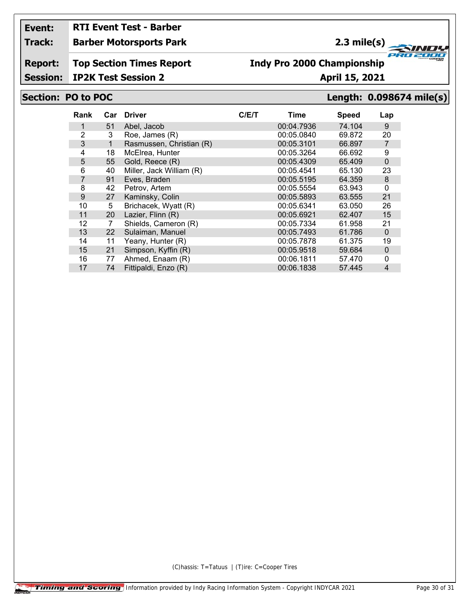## **RTI Event Test - Barber**

**Track: Barber Motorsports Park**

## **2.3 mile(s)**

**Report: Top Section Times Report**

#### **Indy Pro 2000 Championship**

**Session: IP2K Test Session 2 April 15, 2021** 

#### **Section: PO to POC Length: 0.098674 mile(s)**

**FRO 200** 

2000

| 74.104<br>51<br>00:04.7936<br>Abel, Jacob<br>$\overline{2}$<br>3<br>00:05.0840<br>69.872<br>Roe, James (R)<br>3<br>Rasmussen, Christian (R)<br>00:05.3101<br>66.897<br>$\mathbf 1$<br>18<br>00:05.3264<br>66.692<br>4<br>McElrea, Hunter<br>5<br>Gold, Reece (R)<br>55<br>00:05.4309<br>65.409<br>Miller, Jack William (R)<br>6<br>00:05.4541<br>65.130<br>40<br>$\overline{7}$<br>91<br>00:05.5195<br>64.359<br>Eves, Braden<br>8<br>42<br>00:05.5554<br>63.943<br>Petrov. Artem<br>9<br>Kaminsky, Colin<br>27<br>00:05.5893<br>63.555<br>Brichacek, Wyatt (R)<br>5<br>10<br>00:05.6341<br>63.050<br>Lazier, Flinn (R)<br>11<br>00:05.6921<br>62.407<br>20<br>12<br>Shields, Cameron (R)<br>00:05.7334<br>61.958<br>7<br>13<br>Sulaiman, Manuel<br>61.786<br>00:05.7493<br>22<br>00:05.7878<br>Yeany, Hunter (R)<br>61.375<br>14<br>11 | Lap            |
|-----------------------------------------------------------------------------------------------------------------------------------------------------------------------------------------------------------------------------------------------------------------------------------------------------------------------------------------------------------------------------------------------------------------------------------------------------------------------------------------------------------------------------------------------------------------------------------------------------------------------------------------------------------------------------------------------------------------------------------------------------------------------------------------------------------------------------------------|----------------|
|                                                                                                                                                                                                                                                                                                                                                                                                                                                                                                                                                                                                                                                                                                                                                                                                                                         | 9              |
|                                                                                                                                                                                                                                                                                                                                                                                                                                                                                                                                                                                                                                                                                                                                                                                                                                         | 20             |
|                                                                                                                                                                                                                                                                                                                                                                                                                                                                                                                                                                                                                                                                                                                                                                                                                                         | $\overline{7}$ |
|                                                                                                                                                                                                                                                                                                                                                                                                                                                                                                                                                                                                                                                                                                                                                                                                                                         | 9              |
|                                                                                                                                                                                                                                                                                                                                                                                                                                                                                                                                                                                                                                                                                                                                                                                                                                         | $\mathbf 0$    |
|                                                                                                                                                                                                                                                                                                                                                                                                                                                                                                                                                                                                                                                                                                                                                                                                                                         | 23             |
|                                                                                                                                                                                                                                                                                                                                                                                                                                                                                                                                                                                                                                                                                                                                                                                                                                         | 8              |
|                                                                                                                                                                                                                                                                                                                                                                                                                                                                                                                                                                                                                                                                                                                                                                                                                                         | $\mathbf 0$    |
|                                                                                                                                                                                                                                                                                                                                                                                                                                                                                                                                                                                                                                                                                                                                                                                                                                         | 21             |
|                                                                                                                                                                                                                                                                                                                                                                                                                                                                                                                                                                                                                                                                                                                                                                                                                                         | 26             |
|                                                                                                                                                                                                                                                                                                                                                                                                                                                                                                                                                                                                                                                                                                                                                                                                                                         | 15             |
|                                                                                                                                                                                                                                                                                                                                                                                                                                                                                                                                                                                                                                                                                                                                                                                                                                         | 21             |
|                                                                                                                                                                                                                                                                                                                                                                                                                                                                                                                                                                                                                                                                                                                                                                                                                                         | $\mathbf 0$    |
|                                                                                                                                                                                                                                                                                                                                                                                                                                                                                                                                                                                                                                                                                                                                                                                                                                         | 19             |
| Simpson, Kyffin (R)<br>15<br>00:05.9518<br>21<br>59.684                                                                                                                                                                                                                                                                                                                                                                                                                                                                                                                                                                                                                                                                                                                                                                                 | $\mathbf{0}$   |
| Ahmed, Enaam (R)<br>16<br>77<br>00:06.1811<br>57.470                                                                                                                                                                                                                                                                                                                                                                                                                                                                                                                                                                                                                                                                                                                                                                                    | 0              |
| Fittipaldi, Enzo (R)<br>17<br>74<br>00:06.1838<br>57.445                                                                                                                                                                                                                                                                                                                                                                                                                                                                                                                                                                                                                                                                                                                                                                                | $\overline{4}$ |